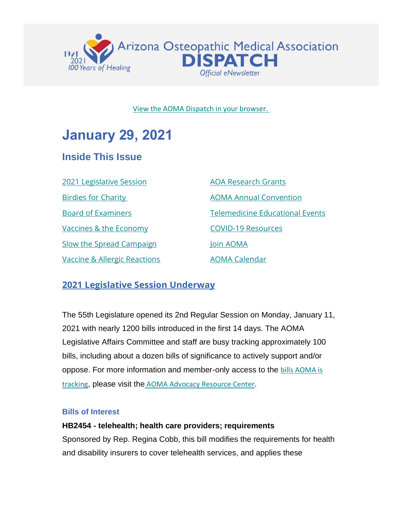

#### [View the AOMA Dispatch in your browser.](https://az-osteo.us7.list-manage.com/track/click?u=dd1fd75649ac066fbe825be67&id=ad72b7acce&e=3282d5793c)

# **January 29, 2021**

# **Inside This Issue**

[2021 Legislative Session](#page-0-0) [Birdies for Charity](#page-3-0) [Board of Examiners](#page-4-0) [Vaccines & the Economy](#page-4-1) [Slow the Spread Campaign](#page-5-0) [Vaccine & Allergic Reactions](#page-6-0)

[AOA Research Grants](#page-8-0) [AOMA Annual Convention](#page-9-0) [Telemedicine Educational Events](#page-9-1) [COVID-19 Resources](#page-11-0) [Join AOMA](https://az-osteo.us7.list-manage.com/track/click?u=dd1fd75649ac066fbe825be67&id=940a3b1e72&e=3282d5793c) [AOMA Calendar](https://az-osteo.us7.list-manage.com/track/click?u=dd1fd75649ac066fbe825be67&id=d58d9e9d97&e=3282d5793c)

## <span id="page-0-0"></span>**2021 Legislative Session Underway**

The 55th Legislature opened its 2nd Regular Session on Monday, January 11, 2021 with nearly 1200 bills introduced in the first 14 days. The AOMA Legislative Affairs Committee and staff are busy tracking approximately 100 bills, including about a dozen bills of significance to actively support and/or oppose. For more information and member-only access to the [bills AOMA is](https://az-osteo.us7.list-manage.com/track/click?u=dd1fd75649ac066fbe825be67&id=514f753905&e=3282d5793c)  [tracking](https://az-osteo.us7.list-manage.com/track/click?u=dd1fd75649ac066fbe825be67&id=514f753905&e=3282d5793c), please visit the [AOMA Advocacy Resource Center](https://az-osteo.us7.list-manage.com/track/click?u=dd1fd75649ac066fbe825be67&id=a6385b2e9e&e=3282d5793c).

#### **Bills of Interest**

#### **HB2454 - telehealth; health care providers; requirements**

Sponsored by Rep. Regina Cobb, this bill modifies the requirements for health and disability insurers to cover telehealth services, and applies these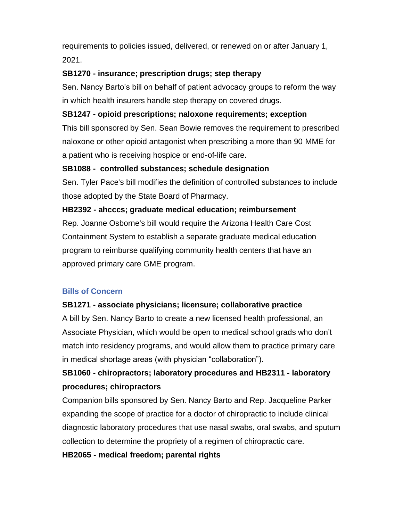requirements to policies issued, delivered, or renewed on or after January 1, 2021.

#### **SB1270 - insurance; prescription drugs; step therapy**

Sen. Nancy Barto's bill on behalf of patient advocacy groups to reform the way in which health insurers handle step therapy on covered drugs.

#### **SB1247 - opioid prescriptions; naloxone requirements; exception**

This bill sponsored by Sen. Sean Bowie removes the requirement to prescribed naloxone or other opioid antagonist when prescribing a more than 90 MME for a patient who is receiving hospice or end-of-life care.

#### **SB1088 - controlled substances; schedule designation**

Sen. Tyler Pace's bill modifies the definition of controlled substances to include those adopted by the State Board of Pharmacy.

#### **HB2392 - ahcccs; graduate medical education; reimbursement**

Rep. Joanne Osborne's bill would require the Arizona Health Care Cost Containment System to establish a separate graduate medical education program to reimburse qualifying community health centers that have an approved primary care GME program.

#### **Bills of Concern**

#### **SB1271 - associate physicians; licensure; collaborative practice**

A bill by Sen. Nancy Barto to create a new licensed health professional, an Associate Physician, which would be open to medical school grads who don't match into residency programs, and would allow them to practice primary care in medical shortage areas (with physician "collaboration").

## **SB1060 - chiropractors; laboratory procedures and HB2311 - laboratory procedures; chiropractors**

Companion bills sponsored by Sen. Nancy Barto and Rep. Jacqueline Parker expanding the scope of practice for a doctor of chiropractic to include clinical diagnostic laboratory procedures that use nasal swabs, oral swabs, and sputum collection to determine the propriety of a regimen of chiropractic care.

#### **HB2065 - medical freedom; parental rights**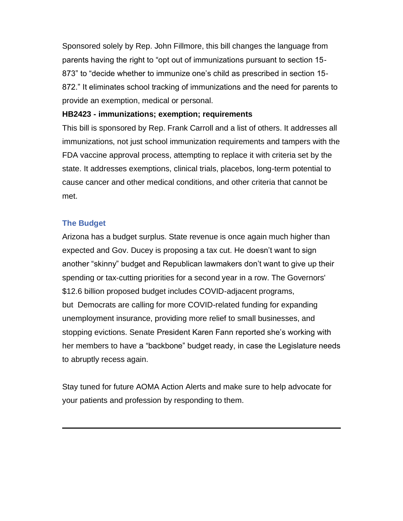Sponsored solely by Rep. John Fillmore, this bill changes the language from parents having the right to "opt out of immunizations pursuant to section 15- 873" to "decide whether to immunize one's child as prescribed in section 15- 872." It eliminates school tracking of immunizations and the need for parents to provide an exemption, medical or personal.

#### **HB2423 - immunizations; exemption; requirements**

This bill is sponsored by Rep. Frank Carroll and a list of others. It addresses all immunizations, not just school immunization requirements and tampers with the FDA vaccine approval process, attempting to replace it with criteria set by the state. It addresses exemptions, clinical trials, placebos, long-term potential to cause cancer and other medical conditions, and other criteria that cannot be met.

#### **The Budget**

Arizona has a budget surplus. State revenue is once again much higher than expected and Gov. Ducey is proposing a tax cut. He doesn't want to sign another "skinny" budget and Republican lawmakers don't want to give up their spending or tax-cutting priorities for a second year in a row. The Governors' \$12.6 billion proposed budget includes COVID-adjacent programs, but Democrats are calling for more COVID-related funding for expanding unemployment insurance, providing more relief to small businesses, and stopping evictions. Senate President Karen Fann reported she's working with her members to have a "backbone" budget ready, in case the Legislature needs to abruptly recess again.

Stay tuned for future AOMA Action Alerts and make sure to help advocate for your patients and profession by responding to them.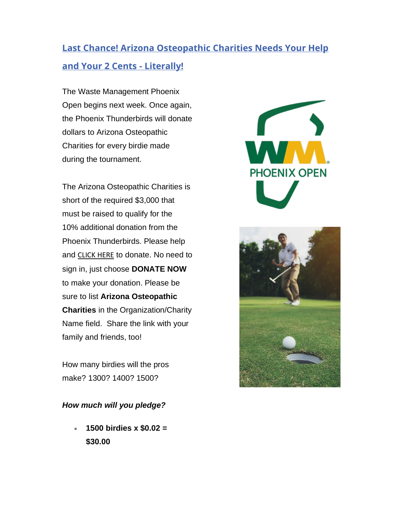# <span id="page-3-0"></span>**Last Chance! Arizona Osteopathic Charities Needs Your Help and Your 2 Cents - Literally!**

The Waste Management Phoenix Open begins next week. Once again, the Phoenix Thunderbirds will donate dollars to Arizona Osteopathic Charities for every birdie made during the tournament.

The Arizona Osteopathic Charities is short of the required \$3,000 that must be raised to qualify for the 10% additional donation from the Phoenix Thunderbirds. Please help and [CLICK HERE](https://az-osteo.us7.list-manage.com/track/click?u=dd1fd75649ac066fbe825be67&id=918a6e0a15&e=3282d5793c) to donate. No need to sign in, just choose **DONATE NOW** to make your donation. Please be sure to list **Arizona Osteopathic Charities** in the Organization/Charity Name field. Share the link with your family and friends, too!

How many birdies will the pros make? 1300? 1400? 1500?

#### *How much will you pledge?*

• **1500 birdies x \$0.02 = \$30.00**



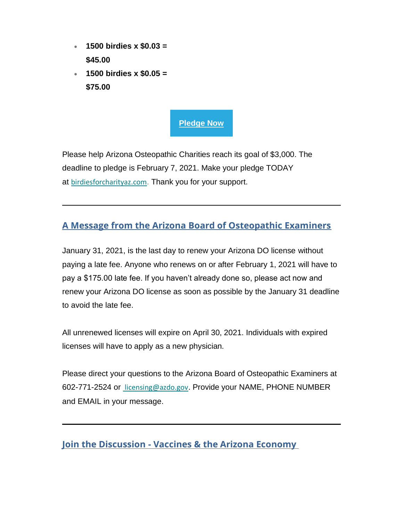- **1500 birdies x \$0.03 = \$45.00**
- **1500 birdies x \$0.05 = \$75.00**



Please help Arizona Osteopathic Charities reach its goal of \$3,000. The deadline to pledge is February 7, 2021. Make your pledge TODAY at [birdiesforcharityaz.com](https://az-osteo.us7.list-manage.com/track/click?u=dd1fd75649ac066fbe825be67&id=009d4b7b0b&e=3282d5793c). Thank you for your support.

# <span id="page-4-0"></span>**A Message from the Arizona Board of Osteopathic Examiners**

January 31, 2021, is the last day to renew your Arizona DO license without paying a late fee. Anyone who renews on or after February 1, 2021 will have to pay a \$175.00 late fee. If you haven't already done so, please act now and renew your Arizona DO license as soon as possible by the January 31 deadline to avoid the late fee.

All unrenewed licenses will expire on April 30, 2021. Individuals with expired licenses will have to apply as a new physician.

Please direct your questions to the Arizona Board of Osteopathic Examiners at 602-771-2524 or [licensing@azdo.gov](mailto: licensing@azdo.gov). Provide your NAME, PHONE NUMBER and EMAIL in your message.

<span id="page-4-1"></span>**Join the Discussion - Vaccines & the Arizona Economy**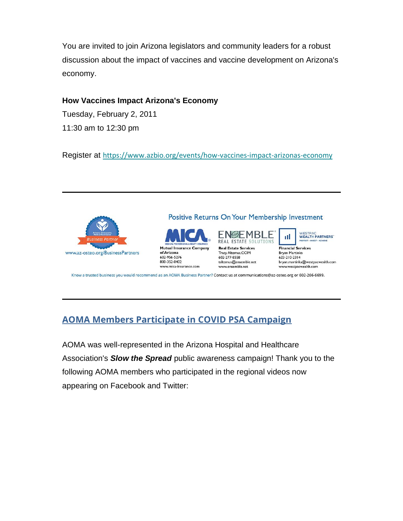You are invited to join Arizona legislators and community leaders for a robust discussion about the impact of vaccines and vaccine development on Arizona's economy.

#### **How Vaccines Impact Arizona's Economy**

Tuesday, February 2, 2011 11:30 am to 12:30 pm

Register at [https://www.azbio.org/events/how-vaccines-impact-arizonas-economy](https://az-osteo.us7.list-manage.com/track/click?u=dd1fd75649ac066fbe825be67&id=ab8d061362&e=3282d5793c)



### Positive Returns On Your Membership Investment





WESTPAC<br>WEALTH PARTNERS

**Financial Services Brvan Martinka** 623-210-2314 bryan.martinka@westpacwealth.com www.westpacwealth.com

пI

Know a trusted business you would recommend as an AOMA Business Partner? Contact us at communications@az-osteo.org or 602-266-6699.

# <span id="page-5-0"></span>**AOMA Members Participate in COVID PSA Campaign**

AOMA was well-represented in the Arizona Hospital and Healthcare Association's *Slow the Spread* public awareness campaign! Thank you to the following AOMA members who participated in the regional videos now appearing on Facebook and Twitter: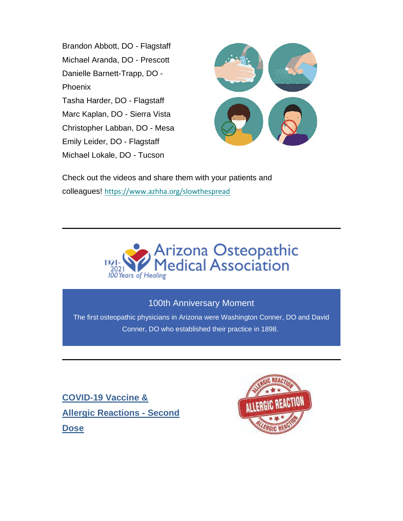Brandon Abbott, DO - Flagstaff Michael Aranda, DO - Prescott Danielle Barnett-Trapp, DO - Phoenix Tasha Harder, DO - Flagstaff Marc Kaplan, DO - Sierra Vista Christopher Labban, DO - Mesa Emily Leider, DO - Flagstaff Michael Lokale, DO - Tucson



Check out the videos and share them with your patients and colleagues! [https://www.azhha.org/slowthespread](https://az-osteo.us7.list-manage.com/track/click?u=dd1fd75649ac066fbe825be67&id=c09bc91812&e=3282d5793c)



## 100th Anniversary Moment

The first osteopathic physicians in Arizona were Washington Conner, DO and David Conner, DO who established their practice in 1898.

<span id="page-6-0"></span>**COVID-19 Vaccine & Allergic Reactions - Second Dose**

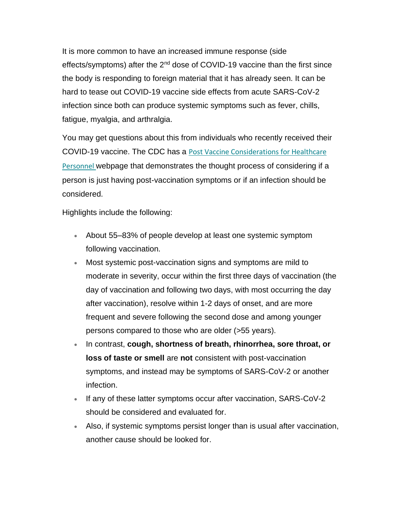It is more common to have an increased immune response (side effects/symptoms) after the 2<sup>nd</sup> dose of COVID-19 vaccine than the first since the body is responding to foreign material that it has already seen. It can be hard to tease out COVID-19 vaccine side effects from acute SARS-CoV-2 infection since both can produce systemic symptoms such as fever, chills, fatigue, myalgia, and arthralgia.

You may get questions about this from individuals who recently received their COVID-19 vaccine. The CDC has a [Post Vaccine Considerations for Healthcare](https://az-osteo.us7.list-manage.com/track/click?u=dd1fd75649ac066fbe825be67&id=c2171d895a&e=3282d5793c)  [Personnel](https://az-osteo.us7.list-manage.com/track/click?u=dd1fd75649ac066fbe825be67&id=c2171d895a&e=3282d5793c) webpage that demonstrates the thought process of considering if a person is just having post-vaccination symptoms or if an infection should be considered.

Highlights include the following:

- About 55–83% of people develop at least one systemic symptom following vaccination.
- Most systemic post-vaccination signs and symptoms are mild to moderate in severity, occur within the first three days of vaccination (the day of vaccination and following two days, with most occurring the day after vaccination), resolve within 1-2 days of onset, and are more frequent and severe following the second dose and among younger persons compared to those who are older (>55 years).
- In contrast, **cough, shortness of breath, rhinorrhea, sore throat, or loss of taste or smell** are **not** consistent with post-vaccination symptoms, and instead may be symptoms of SARS-CoV-2 or another infection.
- If any of these latter symptoms occur after vaccination, SARS-CoV-2 should be considered and evaluated for.
- Also, if systemic symptoms persist longer than is usual after vaccination, another cause should be looked for.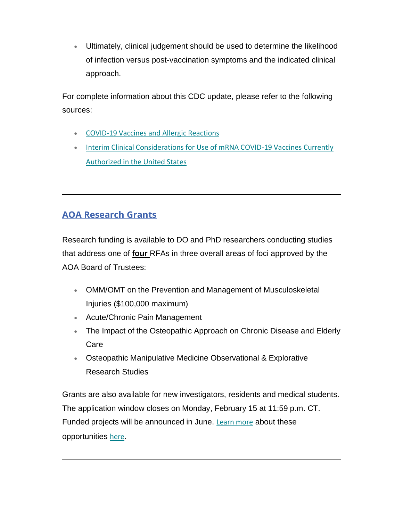• Ultimately, clinical judgement should be used to determine the likelihood of infection versus post-vaccination symptoms and the indicated clinical approach.

For complete information about this CDC update, please refer to the following sources:

- [COVID-19 Vaccines and Allergic Reactions](https://az-osteo.us7.list-manage.com/track/click?u=dd1fd75649ac066fbe825be67&id=459ae881ad&e=3282d5793c)
- [Interim Clinical Considerations for Use of mRNA COVID-19 Vaccines Currently](https://az-osteo.us7.list-manage.com/track/click?u=dd1fd75649ac066fbe825be67&id=ea11669e0b&e=3282d5793c)  [Authorized in the United States](https://az-osteo.us7.list-manage.com/track/click?u=dd1fd75649ac066fbe825be67&id=ea11669e0b&e=3282d5793c)

# <span id="page-8-0"></span>**AOA Research Grants**

Research funding is available to DO and PhD researchers conducting studies that address one of **[four](https://az-osteo.us7.list-manage.com/track/click?u=dd1fd75649ac066fbe825be67&id=f1531eb27b&e=3282d5793c)** RFAs in three overall areas of foci approved by the AOA Board of Trustees:

- OMM/OMT on the Prevention and Management of Musculoskeletal Injuries (\$100,000 maximum)
- Acute/Chronic Pain Management
- The Impact of the Osteopathic Approach on Chronic Disease and Elderly Care
- Osteopathic Manipulative Medicine Observational & Explorative Research Studies

Grants are also available for new investigators, residents and medical students. The application window closes on Monday, February 15 at 11:59 p.m. CT. Funded projects will be announced in June. [Learn more](https://az-osteo.us7.list-manage.com/track/click?u=dd1fd75649ac066fbe825be67&id=20d04cc87c&e=3282d5793c) about these opportunities [here](https://az-osteo.us7.list-manage.com/track/click?u=dd1fd75649ac066fbe825be67&id=dc5163d9be&e=3282d5793c).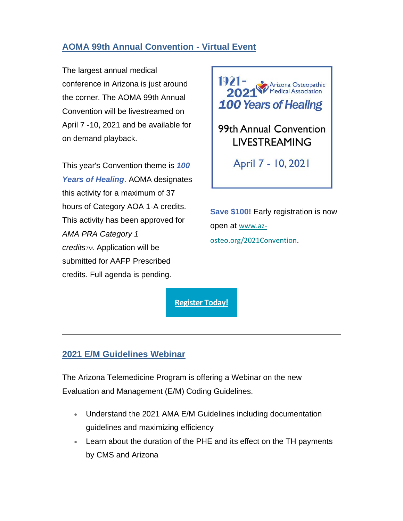## <span id="page-9-0"></span>**AOMA 99th Annual Convention - Virtual Event**

The largest annual medical conference in Arizona is just around the corner. The AOMA 99th Annual Convention will be livestreamed on April 7 -10, 2021 and be available for on demand playback.

This year's Convention theme is *100 Years of Healing*. AOMA designates this activity for a maximum of 37 hours of Category AOA 1-A credits. This activity has been approved for *AMA PRA Category 1 creditsTM*. Application will be submitted for AAFP Prescribed credits. Full agenda is pending.



**Save \$100!** Early registration is now open at [www.az](https://az-osteo.us7.list-manage.com/track/click?u=dd1fd75649ac066fbe825be67&id=742f34307d&e=3282d5793c)[osteo.org/2021Convention](https://az-osteo.us7.list-manage.com/track/click?u=dd1fd75649ac066fbe825be67&id=742f34307d&e=3282d5793c).



## <span id="page-9-1"></span>**2021 E/M Guidelines Webinar**

The Arizona Telemedicine Program is offering a Webinar on the new Evaluation and Management (E/M) Coding Guidelines.

- Understand the 2021 AMA E/M Guidelines including documentation guidelines and maximizing efficiency
- Learn about the duration of the PHE and its effect on the TH payments by CMS and Arizona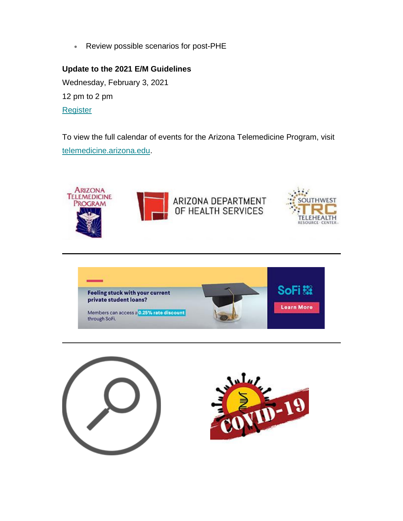• Review possible scenarios for post-PHE

**Update to the 2021 E/M Guidelines** Wednesday, February 3, 2021 12 pm to 2 pm **[Register](https://az-osteo.us7.list-manage.com/track/click?u=dd1fd75649ac066fbe825be67&id=db47492d8f&e=3282d5793c)** 

To view the full calendar of events for the Arizona Telemedicine Program, visit [telemedicine.arizona.edu.](https://az-osteo.us7.list-manage.com/track/click?u=dd1fd75649ac066fbe825be67&id=9804f12dbe&e=3282d5793c)